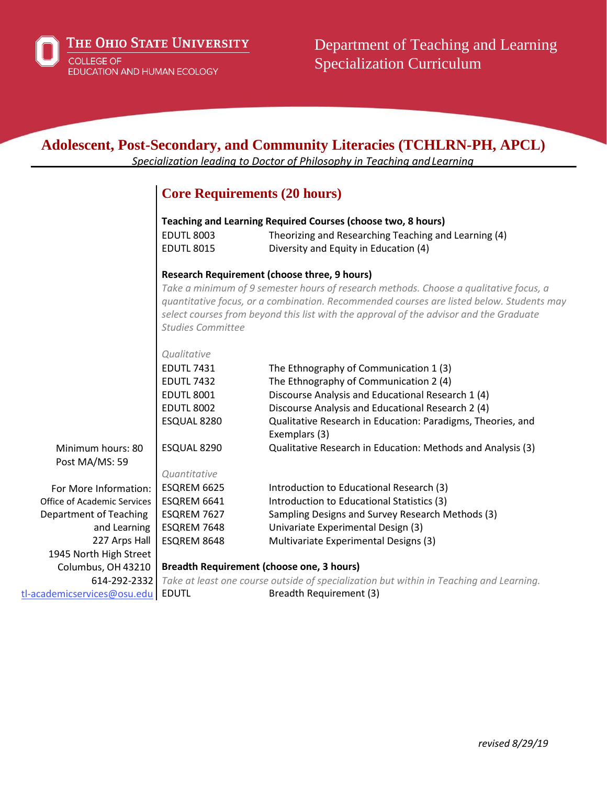

THE OHIO STATE UNIVERSITY COLLEGE OF<br>EDUCATION AND HUMAN ECOLOGY

| <b>Adolescent, Post-Secondary, and Community Literacies (TCHLRN-PH, APCL)</b><br>Specialization leading to Doctor of Philosophy in Teaching and Learning |                                                                                                                                                                                                                                                                                                         |                                                                                                                                                               |  |
|----------------------------------------------------------------------------------------------------------------------------------------------------------|---------------------------------------------------------------------------------------------------------------------------------------------------------------------------------------------------------------------------------------------------------------------------------------------------------|---------------------------------------------------------------------------------------------------------------------------------------------------------------|--|
|                                                                                                                                                          |                                                                                                                                                                                                                                                                                                         | <b>Core Requirements (20 hours)</b>                                                                                                                           |  |
|                                                                                                                                                          | <b>EDUTL 8003</b><br><b>EDUTL 8015</b>                                                                                                                                                                                                                                                                  | Teaching and Learning Required Courses (choose two, 8 hours)<br>Theorizing and Researching Teaching and Learning (4)<br>Diversity and Equity in Education (4) |  |
|                                                                                                                                                          |                                                                                                                                                                                                                                                                                                         | <b>Research Requirement (choose three, 9 hours)</b>                                                                                                           |  |
|                                                                                                                                                          | Take a minimum of 9 semester hours of research methods. Choose a qualitative focus, a<br>quantitative focus, or a combination. Recommended courses are listed below. Students may<br>select courses from beyond this list with the approval of the advisor and the Graduate<br><b>Studies Committee</b> |                                                                                                                                                               |  |
|                                                                                                                                                          | Qualitative                                                                                                                                                                                                                                                                                             |                                                                                                                                                               |  |
|                                                                                                                                                          | <b>EDUTL 7431</b>                                                                                                                                                                                                                                                                                       | The Ethnography of Communication 1 (3)                                                                                                                        |  |
|                                                                                                                                                          | <b>EDUTL 7432</b>                                                                                                                                                                                                                                                                                       | The Ethnography of Communication 2 (4)                                                                                                                        |  |
|                                                                                                                                                          | <b>EDUTL 8001</b>                                                                                                                                                                                                                                                                                       | Discourse Analysis and Educational Research 1 (4)                                                                                                             |  |
|                                                                                                                                                          | <b>EDUTL 8002</b>                                                                                                                                                                                                                                                                                       | Discourse Analysis and Educational Research 2 (4)                                                                                                             |  |
|                                                                                                                                                          | ESQUAL 8280                                                                                                                                                                                                                                                                                             | Qualitative Research in Education: Paradigms, Theories, and<br>Exemplars (3)                                                                                  |  |
| Minimum hours: 80                                                                                                                                        | ESQUAL 8290                                                                                                                                                                                                                                                                                             | Qualitative Research in Education: Methods and Analysis (3)                                                                                                   |  |
| Post MA/MS: 59                                                                                                                                           |                                                                                                                                                                                                                                                                                                         |                                                                                                                                                               |  |
|                                                                                                                                                          | Quantitative                                                                                                                                                                                                                                                                                            |                                                                                                                                                               |  |
| For More Information:                                                                                                                                    | ESQREM 6625                                                                                                                                                                                                                                                                                             | Introduction to Educational Research (3)                                                                                                                      |  |
| Office of Academic Services                                                                                                                              | ESQREM 6641                                                                                                                                                                                                                                                                                             | Introduction to Educational Statistics (3)                                                                                                                    |  |
| Department of Teaching                                                                                                                                   | ESQREM 7627                                                                                                                                                                                                                                                                                             | Sampling Designs and Survey Research Methods (3)                                                                                                              |  |
| and Learning                                                                                                                                             | ESQREM 7648                                                                                                                                                                                                                                                                                             | Univariate Experimental Design (3)                                                                                                                            |  |
| 227 Arps Hall                                                                                                                                            | ESQREM 8648                                                                                                                                                                                                                                                                                             | Multivariate Experimental Designs (3)                                                                                                                         |  |
| 1945 North High Street                                                                                                                                   |                                                                                                                                                                                                                                                                                                         |                                                                                                                                                               |  |
| Columbus, OH 43210                                                                                                                                       | <b>Breadth Requirement (choose one, 3 hours)</b>                                                                                                                                                                                                                                                        |                                                                                                                                                               |  |
| 614-292-2332                                                                                                                                             |                                                                                                                                                                                                                                                                                                         | Take at least one course outside of specialization but within in Teaching and Learning.                                                                       |  |
| tl-academicservices@osu.edu                                                                                                                              | <b>EDUTL</b>                                                                                                                                                                                                                                                                                            | Breadth Requirement (3)                                                                                                                                       |  |